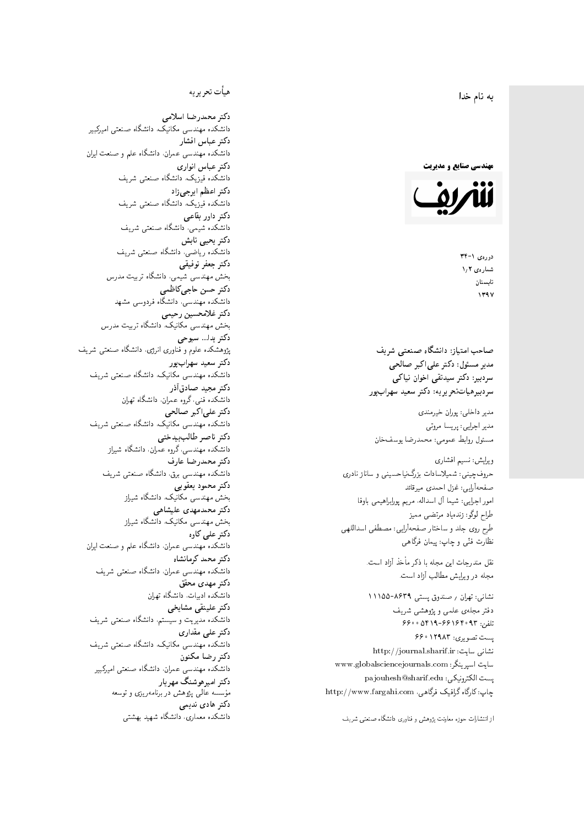$\overline{\phantom{a}}$ ز<br>ن به نام خدا .<br>.

**مهندسی صنایع و مدیریت** 



دورەي ١-٣۴ شمارەي ۱٫۲ تابستان 1397

صاحب امتیاز: دانشگاه صنعتی شریف  $\mathfrak{c}$ مدیر مسئول: دکتر علیاکبر صالحی  $\mathfrak{c}$ سردبیرهیاتتحر یر یه : دکتر سعید سهرابپور

مدير داخلى: پوران خيرمندى<br>. مدير اجرايي: پريسا مروتي<br>. مسئول روابط عمومی: محمدرضا يوسفخان<br>.

ویرایش: نسیم افشاری<br>. حروفچینی: شمیلاسادات بزرگiیاحسینی و ساناز نادری صفحهآرایی: غزل احمدی میرقائد<br>امور اجرایی: شیما آل اسداله، مریم یورابراهیمی باوفا طراح لوگو: زندهیاد مرتضمی ممیز<br>ا طرح روى جلد و ساختار صفحه[رایی: مصطفى اسداللهی<br>بنالمستقد نظارت فٽ<sub>ی</sub> و چاپ: پيمان فرگاه<sub>ی</sub><br>.

نقل مندرجات این مجله با ذکر مأخذ آزاد است.<br>محله در و راش مطالب آزاد است.

نشانی: تهران / حسندوق پستی ۸۶۳۹-۱۱۱۵۵ دفتر مجلهى علمى و پژوهشى شريف 5600 0419-991940 % 073 پست تصویری: ۱۲۹۸۳ ۶۶۰ نشانی سایت: http://journal.sharif.ir<br>ء سایت اسپرینگر: www.globalsciencejournals.com<br>افکار کافی کے مطابق کافیل کے مطابق کافیل کے مطابق کافیل کے مطابق کافیل کرنا pajouhesh@sharif.edu :يست الكترونيكي:  ${\rm http://www.fargahi.com}$  خارگاه گرافیک فرگاهی، سردبير: دكتر سيدتقى اخوان نياكى<br>سردبير فيات تحرير يه : دكتر سعيد سهواب پور<br>مدير داخلى: پريسا مروتى<br>ديراجان : پريسا مروتى<br>ويرايش: نسيم افشارى<br>حدوف چينى: شديدالسادات بزرگ نياحسينى و ساناز نادرى<br>حدوف چينى: شديدالسادات بزرگ ن

### هيأت تحريريه

دكتر محمدرضا اسلامى مکانیک، دانشگاه صنعتی امیرکبیر<br>. دكتر عباس افشار دانشکده مهندسی عمران، دانشگاه علم و صنعت ایران<br>بحمد مصلحات دكتر عباس انوارى دانشکده فیزیک، دانشگاه صنعتبی شریف<br>محمد استانسا دکتر اعظم ايرج<mark>ي</mark> زاد ، دانشگاه صنعتبی شریف<br>. دکتر داور بقاع**ی** دانشکده شیمی، دانشگاه صنعتی شریف<br>دکتر یحیی تابش دانشکده ریاضی، دانشگاه صنعتی شریف<br>برمسمنستانستان دكتر جعفر توفيقي بخش مهندسی شیمی، دانشگاه تربیت مدرس<br>سم دكتر حسن حاجىكاظمي دانشکده مهندسی، دانشگاه فردوسی مشهد<br>کستفلار م دكتر غلامحسين رحيمي هندسی مکانیک، دانشگاه تربیت مدرس<br>ا دکتر یدا... سبوحی یژوهشکده علوم و فناوری انرژی، دانشگاه صنعتی شریف دکتر سعید سهرابپور<br>دانشکده مهندسی مکانیک، دانشگاه صنعتی شریف دکتر مجيد صادقاذر ا<br>. دانشکده فنی، گروه عمران، دانشگاه تهران دکتر علیاکبر صالحی = دانشکده مهندسی مکانیک، دانشگاه صنعتی شریف<br>یکستا دکتر ناصر طالب بیدختی r  $\mathfrak{c}$ دانشکده مهندسی، گروه عمران، دانشگاه شیراز<br>مکتب مصدر مقبل علم دكتر محمدرضا عارف دانشکده مهندسی برق، دانشگاه صنعتی شریف<br><mark>دکتر محمود یعقوبی</mark> هندسی مکانیک، دانشگاه شیراز<br>مسدوده مصلوفیاه دکتر محمدمهدی علیشاهی بخش مهندسی مکانیک، دانشگاه شیراز<br>مکتبهای کابی دکتر علی کاوہ دانشکده مهندسی عمران، دانشگاه علم و صنعت ایران<br>بحت دکتر محمد کرمانشاه .<br>. دانشکده مهندسی عمران، دانشگاه صنعتی شریف<br>مکتبر دولت مستق دکتر مهد*ی* محقق دانشکده ادبیات، دانشگاه تهران دکتر علینقی مشایخ<u>ی</u> دانشکده مدیریت و سیستم، دانشگاه صنعتبی شریف<br>محمد باست دکتر عل*ی* مقداری مکانیک، دانشگاه صنعتی شریف<br>. دكتر رضا مكنون دانشکده مهندسی عمران. دانشگاه صنعتی امیرکبیر<br>محمد است میگ دکتر امیرهوشنگ مهریار سه عالمی پژوهش در برنامهریزی و توسعه<br>۱۹ادم خار موسه<br>بر ءُ<br>ك دکتر هادی ندیمی  $\overline{a}$ م تشكل المسابق المسلم المسابق المسابق المسابق المسابق المسابق المسابق المسابق المسابق المسابق المسابق المسابق ا<br>والمسابق المسابق المسابق المسابق المسابق المسابق المسابق المسابق المسابق المسابق المسابق المسابق المسابق المس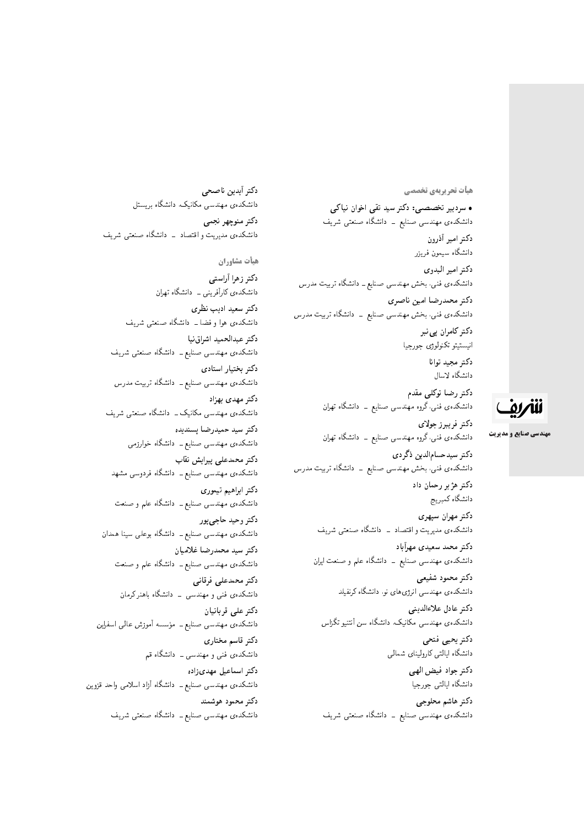**هیات تحریریهی تخصصی** 

• سردبیر تخصصی: دکتر سید تقی اخوان نیاکی دانشکدهی مهندسی صنایع ــ دانشگاه صنعتی شریف دكتر امير أذرون دانشگاه سیمون فریزر دكتر امير البدو**ي** دانشکدهی فنی، بخش مهندسی صنایع ــ دانشگاه تربیت مدرس دكتر محمدرضا امين ناصري دانشکدهی فنی، بخش مهندسی صنایع \_ دانشگاه تربیت مدرس دکتر کامران پی نبر انيستيتو تكنولوژى جورجيا دكتر مجيد توانا دانشگاه لاسال دکتر رضا توکلی مقدم دانشکدهی فنی،گروه مهندسی صنایع ــ دانشگاه تهران دكتر فريبرز جولاى دانشکدهی فنی،گروه مهندسی صنایع \_ دانشگاه تهران دكتر سيدحسامالدين ذگردي دانشکدهی فنی، بخش مهندسی صنایع <mark>– دانشگاه تربیت مدرس</mark> دکتر هژبر رحمان داد دانشگاه كمبريج دكتر مهران سپهري دانشکدهی مدیریت و اقتصاد \_ دانشگاه صنعتبی شریف دكتر محمد سعيدى مهرأباد دانشکدهی مهندسی صنایع ــ دانشگاه علم و صنعت ایران دكتر محمود شفيعي دانشکدهی مهندسی انرژی های نو. دانشگاه کرنفیلد دكتر عادل علاءالديني دانشکدهی مهندسی مکانیک، دانشگاه سن آنتنیو تگزاس دكتر يحيى فتحى دانشگاه ايالتي كاروليناي شمالي دكتر جواد فيض الهي دانشگاه ايالتي جورجيا

> دكتر هاشم محلوجي دانشکدهی مهندسی صنایع ــ دانشگاه صنعتی شریف

دكتر أيدين ناصحى دانشکدهی مهندسی مکانیک، دانشگاه بریستل دكتر منوچهر نجمي دانشکدهی مدیریت و اقتصاد - دانشگاه صنعتبی شریف هيأت مشاوران

دكتر زهرا أراستى دانشکدهی کارآفرینبی ــ دانشگاه تهران دکتر سعید ادیب نظری دانشکدهی هوا و فضا ــ دانشگاه صنعتی شریف دكتر عبدالحميد اشراق نيا دانشکده، مهندسی صنایع ــ دانشگاه صنعتی شریف دكتر بختيار استادى دانشکدهی مهندسی صنایع ــ دانشگاه تربیت مدرس دکتر مهدی بهزاد دانشکدهی مهندسی مکانیک ــ دانشگاه صنعتم شریف دكتر سيد حميدرضا پسنديده دانشکده، مهندسی صنایع ــ دانشگاه خوارزمی دكتر محمدعلى پيرايش نقاب دانشکدهی مهندسی صنایع ــ دانشگاه فردوسی مشهد دكتر ابراهيم تيموري دانشکدهی مهندسی صنایع ــ دانشگاه علم و صنعت دکتر وحید حاجیپور دانشکدهی مهندسی صنایع ــ دانشگاه بوعلمی سینا همدان دكتر سيد محمدرضا غلاميان دانشکدهی مهندسی صنایع ــ دانشگاه علم و صنعت دكتر محمدعلى فرقاني دانشکدهی فنبی و مهندسی \_ دانشگاه باهنر کرمان دكتر على قربانيان دانشکده ی مهندسی صنایع ــ مؤسسه آموزش عالی اسفراین<br>. دكتر قاسم مختارى دانشکده ی فنبی و مهندسی ــ دانشگاه قم دكتر اسماعيل مهدى زاده دانشکدهی مهندسی صنایع ــ دانشگاه آزاد اسلامی واحد قزوین دكتر محمود هوشمند دانشکدهی مهندسی صنایع ــ دانشگاه صنعتی شریف

# ننتريف

**مهندسی صنایع و مدیریت**